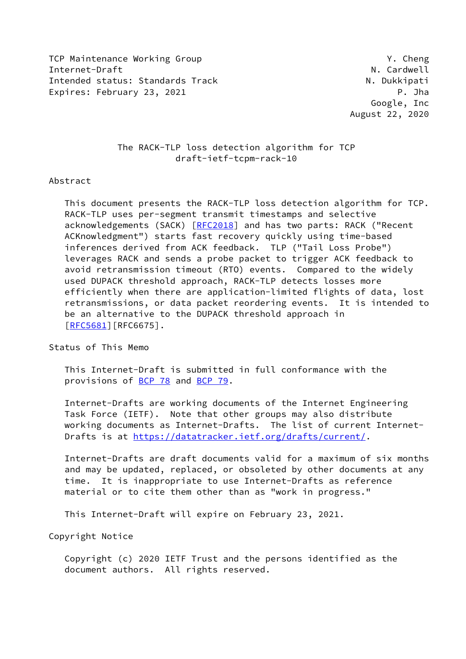TCP Maintenance Working Group TCP Maintenance Working Active Internet-Draft N. Cardwell N. Cardwell Intended status: Standards Track N. Dukkipati Expires: February 23, 2021 **P. Joseph Company** P. Jha

 Google, Inc August 22, 2020

# The RACK-TLP loss detection algorithm for TCP draft-ietf-tcpm-rack-10

# Abstract

 This document presents the RACK-TLP loss detection algorithm for TCP. RACK-TLP uses per-segment transmit timestamps and selective acknowledgements (SACK) [\[RFC2018](https://datatracker.ietf.org/doc/pdf/rfc2018)] and has two parts: RACK ("Recent ACKnowledgment") starts fast recovery quickly using time-based inferences derived from ACK feedback. TLP ("Tail Loss Probe") leverages RACK and sends a probe packet to trigger ACK feedback to avoid retransmission timeout (RTO) events. Compared to the widely used DUPACK threshold approach, RACK-TLP detects losses more efficiently when there are application-limited flights of data, lost retransmissions, or data packet reordering events. It is intended to be an alternative to the DUPACK threshold approach in [\[RFC5681](https://datatracker.ietf.org/doc/pdf/rfc5681)][RFC6675].

Status of This Memo

 This Internet-Draft is submitted in full conformance with the provisions of [BCP 78](https://datatracker.ietf.org/doc/pdf/bcp78) and [BCP 79](https://datatracker.ietf.org/doc/pdf/bcp79).

 Internet-Drafts are working documents of the Internet Engineering Task Force (IETF). Note that other groups may also distribute working documents as Internet-Drafts. The list of current Internet- Drafts is at<https://datatracker.ietf.org/drafts/current/>.

 Internet-Drafts are draft documents valid for a maximum of six months and may be updated, replaced, or obsoleted by other documents at any time. It is inappropriate to use Internet-Drafts as reference material or to cite them other than as "work in progress."

This Internet-Draft will expire on February 23, 2021.

Copyright Notice

 Copyright (c) 2020 IETF Trust and the persons identified as the document authors. All rights reserved.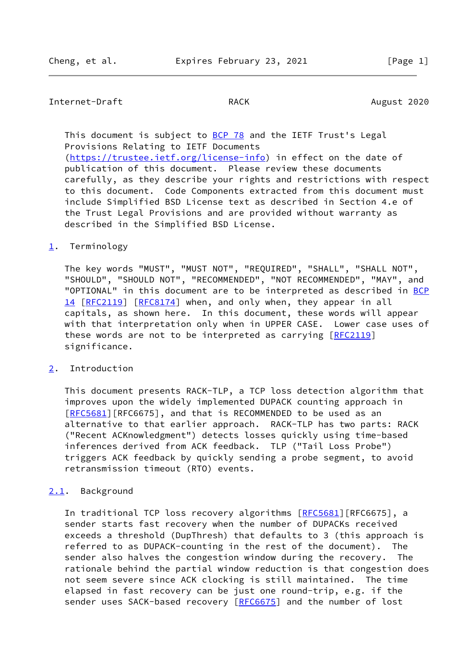# Internet-Draft RACK RACK August 2020

This document is subject to [BCP 78](https://datatracker.ietf.org/doc/pdf/bcp78) and the IETF Trust's Legal Provisions Relating to IETF Documents

 [\(https://trustee.ietf.org/license-info](https://trustee.ietf.org/license-info)) in effect on the date of publication of this document. Please review these documents carefully, as they describe your rights and restrictions with respect to this document. Code Components extracted from this document must include Simplified BSD License text as described in Section 4.e of the Trust Legal Provisions and are provided without warranty as described in the Simplified BSD License.

## <span id="page-1-0"></span>[1](#page-1-0). Terminology

 The key words "MUST", "MUST NOT", "REQUIRED", "SHALL", "SHALL NOT", "SHOULD", "SHOULD NOT", "RECOMMENDED", "NOT RECOMMENDED", "MAY", and "OPTIONAL" in this document are to be interpreted as described in [BCP](https://datatracker.ietf.org/doc/pdf/bcp14) [14](https://datatracker.ietf.org/doc/pdf/bcp14) [[RFC2119\]](https://datatracker.ietf.org/doc/pdf/rfc2119) [\[RFC8174](https://datatracker.ietf.org/doc/pdf/rfc8174)] when, and only when, they appear in all capitals, as shown here. In this document, these words will appear with that interpretation only when in UPPER CASE. Lower case uses of these words are not to be interpreted as carrying [[RFC2119](https://datatracker.ietf.org/doc/pdf/rfc2119)] significance.

# <span id="page-1-1"></span>[2](#page-1-1). Introduction

 This document presents RACK-TLP, a TCP loss detection algorithm that improves upon the widely implemented DUPACK counting approach in [\[RFC5681](https://datatracker.ietf.org/doc/pdf/rfc5681)][RFC6675], and that is RECOMMENDED to be used as an alternative to that earlier approach. RACK-TLP has two parts: RACK ("Recent ACKnowledgment") detects losses quickly using time-based inferences derived from ACK feedback. TLP ("Tail Loss Probe") triggers ACK feedback by quickly sending a probe segment, to avoid retransmission timeout (RTO) events.

## <span id="page-1-2"></span>[2.1](#page-1-2). Background

In traditional TCP loss recovery algorithms [\[RFC5681](https://datatracker.ietf.org/doc/pdf/rfc5681)][RFC6675], a sender starts fast recovery when the number of DUPACKs received exceeds a threshold (DupThresh) that defaults to 3 (this approach is referred to as DUPACK-counting in the rest of the document). The sender also halves the congestion window during the recovery. The rationale behind the partial window reduction is that congestion does not seem severe since ACK clocking is still maintained. The time elapsed in fast recovery can be just one round-trip, e.g. if the sender uses SACK-based recovery [\[RFC6675](https://datatracker.ietf.org/doc/pdf/rfc6675)] and the number of lost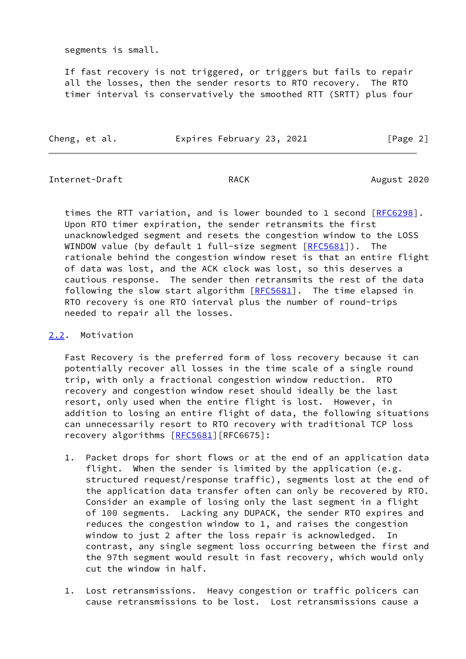segments is small.

 If fast recovery is not triggered, or triggers but fails to repair all the losses, then the sender resorts to RTO recovery. The RTO timer interval is conservatively the smoothed RTT (SRTT) plus four

| Cheng, et al. | Expires February 23, 2021 |  | [Page 2] |  |
|---------------|---------------------------|--|----------|--|
|               |                           |  |          |  |

Internet-Draft **RACK** RACK August 2020

times the RTT variation, and is lower bounded to 1 second [[RFC6298](https://datatracker.ietf.org/doc/pdf/rfc6298)]. Upon RTO timer expiration, the sender retransmits the first unacknowledged segment and resets the congestion window to the LOSS WINDOW value (by default 1 full-size segment  $[REC5681]$ ). The rationale behind the congestion window reset is that an entire flight of data was lost, and the ACK clock was lost, so this deserves a cautious response. The sender then retransmits the rest of the data following the slow start algorithm [[RFC5681\]](https://datatracker.ietf.org/doc/pdf/rfc5681). The time elapsed in RTO recovery is one RTO interval plus the number of round-trips needed to repair all the losses.

# <span id="page-2-0"></span>[2.2](#page-2-0). Motivation

 Fast Recovery is the preferred form of loss recovery because it can potentially recover all losses in the time scale of a single round trip, with only a fractional congestion window reduction. RTO recovery and congestion window reset should ideally be the last resort, only used when the entire flight is lost. However, in addition to losing an entire flight of data, the following situations can unnecessarily resort to RTO recovery with traditional TCP loss recovery algorithms [\[RFC5681](https://datatracker.ietf.org/doc/pdf/rfc5681)][RFC6675]:

- 1. Packet drops for short flows or at the end of an application data flight. When the sender is limited by the application (e.g. structured request/response traffic), segments lost at the end of the application data transfer often can only be recovered by RTO. Consider an example of losing only the last segment in a flight of 100 segments. Lacking any DUPACK, the sender RTO expires and reduces the congestion window to 1, and raises the congestion window to just 2 after the loss repair is acknowledged. In contrast, any single segment loss occurring between the first and the 97th segment would result in fast recovery, which would only cut the window in half.
- 1. Lost retransmissions. Heavy congestion or traffic policers can cause retransmissions to be lost. Lost retransmissions cause a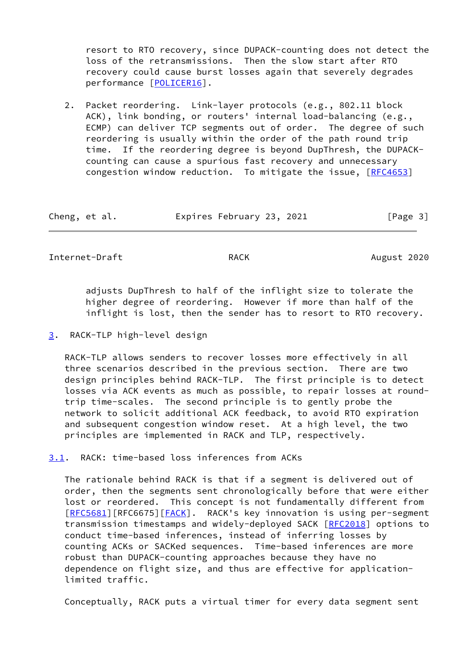resort to RTO recovery, since DUPACK-counting does not detect the loss of the retransmissions. Then the slow start after RTO recovery could cause burst losses again that severely degrades performance [\[POLICER16](#page-31-0)].

 2. Packet reordering. Link-layer protocols (e.g., 802.11 block ACK), link bonding, or routers' internal load-balancing (e.g., ECMP) can deliver TCP segments out of order. The degree of such reordering is usually within the order of the path round trip time. If the reordering degree is beyond DupThresh, the DUPACK counting can cause a spurious fast recovery and unnecessary congestion window reduction. To mitigate the issue, [\[RFC4653](https://datatracker.ietf.org/doc/pdf/rfc4653)]

| Expires February 23, 2021<br>Cheng, et al. | [Page 3] |
|--------------------------------------------|----------|
|--------------------------------------------|----------|

Internet-Draft **RACK** RACK August 2020

 adjusts DupThresh to half of the inflight size to tolerate the higher degree of reordering. However if more than half of the inflight is lost, then the sender has to resort to RTO recovery.

<span id="page-3-0"></span>[3](#page-3-0). RACK-TLP high-level design

 RACK-TLP allows senders to recover losses more effectively in all three scenarios described in the previous section. There are two design principles behind RACK-TLP. The first principle is to detect losses via ACK events as much as possible, to repair losses at round trip time-scales. The second principle is to gently probe the network to solicit additional ACK feedback, to avoid RTO expiration and subsequent congestion window reset. At a high level, the two principles are implemented in RACK and TLP, respectively.

<span id="page-3-1"></span>[3.1](#page-3-1). RACK: time-based loss inferences from ACKs

 The rationale behind RACK is that if a segment is delivered out of order, then the segments sent chronologically before that were either lost or reordered. This concept is not fundamentally different from [\[RFC5681](https://datatracker.ietf.org/doc/pdf/rfc5681)][RFC6675][[FACK\]](#page-31-1). RACK's key innovation is using per-segment transmission timestamps and widely-deployed SACK [\[RFC2018](https://datatracker.ietf.org/doc/pdf/rfc2018)] options to conduct time-based inferences, instead of inferring losses by counting ACKs or SACKed sequences. Time-based inferences are more robust than DUPACK-counting approaches because they have no dependence on flight size, and thus are effective for application limited traffic.

Conceptually, RACK puts a virtual timer for every data segment sent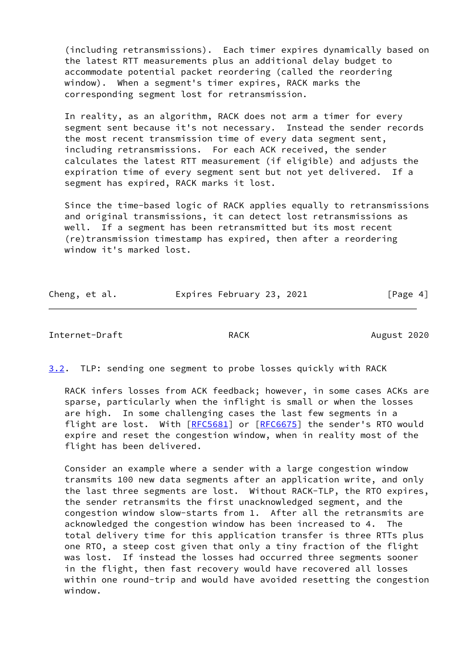(including retransmissions). Each timer expires dynamically based on the latest RTT measurements plus an additional delay budget to accommodate potential packet reordering (called the reordering window). When a segment's timer expires, RACK marks the corresponding segment lost for retransmission.

 In reality, as an algorithm, RACK does not arm a timer for every segment sent because it's not necessary. Instead the sender records the most recent transmission time of every data segment sent, including retransmissions. For each ACK received, the sender calculates the latest RTT measurement (if eligible) and adjusts the expiration time of every segment sent but not yet delivered. If a segment has expired, RACK marks it lost.

 Since the time-based logic of RACK applies equally to retransmissions and original transmissions, it can detect lost retransmissions as well. If a segment has been retransmitted but its most recent (re)transmission timestamp has expired, then after a reordering window it's marked lost.

| Cheng, et al. | Expires February 23, 2021 |  | [Page 4] |
|---------------|---------------------------|--|----------|
|               |                           |  |          |

```
Internet-Draft RACK RACK August 2020
```
<span id="page-4-0"></span>[3.2](#page-4-0). TLP: sending one segment to probe losses quickly with RACK

 RACK infers losses from ACK feedback; however, in some cases ACKs are sparse, particularly when the inflight is small or when the losses are high. In some challenging cases the last few segments in a flight are lost. With [\[RFC5681](https://datatracker.ietf.org/doc/pdf/rfc5681)] or [\[RFC6675](https://datatracker.ietf.org/doc/pdf/rfc6675)] the sender's RTO would expire and reset the congestion window, when in reality most of the flight has been delivered.

 Consider an example where a sender with a large congestion window transmits 100 new data segments after an application write, and only the last three segments are lost. Without RACK-TLP, the RTO expires, the sender retransmits the first unacknowledged segment, and the congestion window slow-starts from 1. After all the retransmits are acknowledged the congestion window has been increased to 4. The total delivery time for this application transfer is three RTTs plus one RTO, a steep cost given that only a tiny fraction of the flight was lost. If instead the losses had occurred three segments sooner in the flight, then fast recovery would have recovered all losses within one round-trip and would have avoided resetting the congestion window.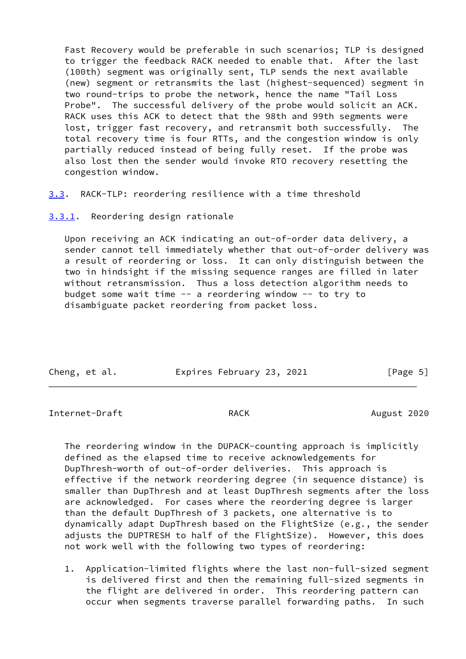Fast Recovery would be preferable in such scenarios; TLP is designed to trigger the feedback RACK needed to enable that. After the last (100th) segment was originally sent, TLP sends the next available (new) segment or retransmits the last (highest-sequenced) segment in two round-trips to probe the network, hence the name "Tail Loss Probe". The successful delivery of the probe would solicit an ACK. RACK uses this ACK to detect that the 98th and 99th segments were lost, trigger fast recovery, and retransmit both successfully. The total recovery time is four RTTs, and the congestion window is only partially reduced instead of being fully reset. If the probe was also lost then the sender would invoke RTO recovery resetting the congestion window.

<span id="page-5-0"></span>[3.3](#page-5-0). RACK-TLP: reordering resilience with a time threshold

<span id="page-5-1"></span>[3.3.1](#page-5-1). Reordering design rationale

 Upon receiving an ACK indicating an out-of-order data delivery, a sender cannot tell immediately whether that out-of-order delivery was a result of reordering or loss. It can only distinguish between the two in hindsight if the missing sequence ranges are filled in later without retransmission. Thus a loss detection algorithm needs to budget some wait time -- a reordering window -- to try to disambiguate packet reordering from packet loss.

| Cheng, et al. |  | Expires February 23, 2021 |  | [Page 5] |  |
|---------------|--|---------------------------|--|----------|--|

Internet-Draft RACK RACK August 2020

 The reordering window in the DUPACK-counting approach is implicitly defined as the elapsed time to receive acknowledgements for DupThresh-worth of out-of-order deliveries. This approach is effective if the network reordering degree (in sequence distance) is smaller than DupThresh and at least DupThresh segments after the loss are acknowledged. For cases where the reordering degree is larger than the default DupThresh of 3 packets, one alternative is to dynamically adapt DupThresh based on the FlightSize (e.g., the sender adjusts the DUPTRESH to half of the FlightSize). However, this does not work well with the following two types of reordering:

 1. Application-limited flights where the last non-full-sized segment is delivered first and then the remaining full-sized segments in the flight are delivered in order. This reordering pattern can occur when segments traverse parallel forwarding paths. In such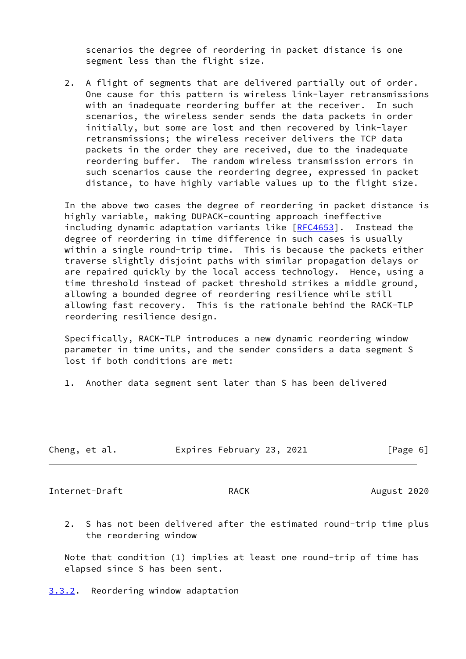scenarios the degree of reordering in packet distance is one segment less than the flight size.

 2. A flight of segments that are delivered partially out of order. One cause for this pattern is wireless link-layer retransmissions with an inadequate reordering buffer at the receiver. In such scenarios, the wireless sender sends the data packets in order initially, but some are lost and then recovered by link-layer retransmissions; the wireless receiver delivers the TCP data packets in the order they are received, due to the inadequate reordering buffer. The random wireless transmission errors in such scenarios cause the reordering degree, expressed in packet distance, to have highly variable values up to the flight size.

 In the above two cases the degree of reordering in packet distance is highly variable, making DUPACK-counting approach ineffective including dynamic adaptation variants like [[RFC4653\]](https://datatracker.ietf.org/doc/pdf/rfc4653). Instead the degree of reordering in time difference in such cases is usually within a single round-trip time. This is because the packets either traverse slightly disjoint paths with similar propagation delays or are repaired quickly by the local access technology. Hence, using a time threshold instead of packet threshold strikes a middle ground, allowing a bounded degree of reordering resilience while still allowing fast recovery. This is the rationale behind the RACK-TLP reordering resilience design.

 Specifically, RACK-TLP introduces a new dynamic reordering window parameter in time units, and the sender considers a data segment S lost if both conditions are met:

1. Another data segment sent later than S has been delivered

| Cheng, et al. |  | Expires February 23, 2021 |  |  | [Page 6] |
|---------------|--|---------------------------|--|--|----------|
|---------------|--|---------------------------|--|--|----------|

Internet-Draft RACK RACK August 2020

 2. S has not been delivered after the estimated round-trip time plus the reordering window

 Note that condition (1) implies at least one round-trip of time has elapsed since S has been sent.

<span id="page-6-0"></span>[3.3.2](#page-6-0). Reordering window adaptation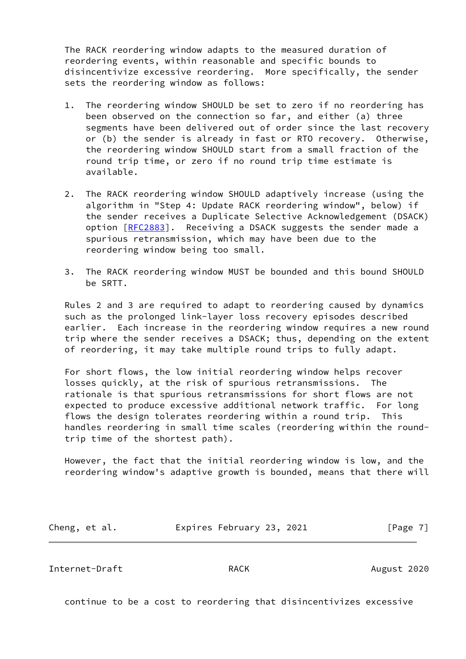The RACK reordering window adapts to the measured duration of reordering events, within reasonable and specific bounds to disincentivize excessive reordering. More specifically, the sender sets the reordering window as follows:

- 1. The reordering window SHOULD be set to zero if no reordering has been observed on the connection so far, and either (a) three segments have been delivered out of order since the last recovery or (b) the sender is already in fast or RTO recovery. Otherwise, the reordering window SHOULD start from a small fraction of the round trip time, or zero if no round trip time estimate is available.
- 2. The RACK reordering window SHOULD adaptively increase (using the algorithm in "Step 4: Update RACK reordering window", below) if the sender receives a Duplicate Selective Acknowledgement (DSACK) option [[RFC2883\]](https://datatracker.ietf.org/doc/pdf/rfc2883). Receiving a DSACK suggests the sender made a spurious retransmission, which may have been due to the reordering window being too small.
- 3. The RACK reordering window MUST be bounded and this bound SHOULD be SRTT.

 Rules 2 and 3 are required to adapt to reordering caused by dynamics such as the prolonged link-layer loss recovery episodes described earlier. Each increase in the reordering window requires a new round trip where the sender receives a DSACK; thus, depending on the extent of reordering, it may take multiple round trips to fully adapt.

 For short flows, the low initial reordering window helps recover losses quickly, at the risk of spurious retransmissions. The rationale is that spurious retransmissions for short flows are not expected to produce excessive additional network traffic. For long flows the design tolerates reordering within a round trip. This handles reordering in small time scales (reordering within the round trip time of the shortest path).

 However, the fact that the initial reordering window is low, and the reordering window's adaptive growth is bounded, means that there will

| Cheng, et al. | Expires February 23, 2021 |  | [Page 7] |
|---------------|---------------------------|--|----------|
|---------------|---------------------------|--|----------|

Internet-Draft **RACK** RACK August 2020

continue to be a cost to reordering that disincentivizes excessive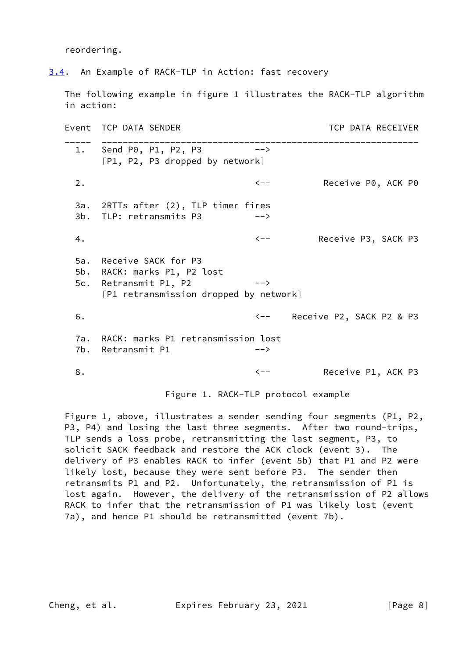reordering.

<span id="page-8-0"></span>[3.4](#page-8-0). An Example of RACK-TLP in Action: fast recovery

 The following example in figure 1 illustrates the RACK-TLP algorithm in action:

Event TCP DATA SENDER TERM TO THE TERM TO THE SECTIVER \_\_\_\_\_ \_\_\_\_\_\_\_\_\_\_\_\_\_\_\_\_\_\_\_\_\_\_\_\_\_\_\_\_\_\_\_\_\_\_\_\_\_\_\_\_\_\_\_\_\_\_\_\_\_\_\_\_\_\_\_\_\_\_\_\_ 1. Send P0, P1, P2, P3 --> [P1, P2, P3 dropped by network] 2. The contract of the contract of the contract of the Receive P0, ACK P0 3a. 2RTTs after (2), TLP timer fires 3b. TLP: retransmits P3 --> 4. The contract of the contract of the contract of the Receive P3, SACK P3 5a. Receive SACK for P3 5b. RACK: marks P1, P2 lost 5c. Retransmit P1, P2 --> [P1 retransmission dropped by network] 6. <-- Receive P2, SACK P2 & P3 7a. RACK: marks P1 retransmission lost 7b. Retransmit P1 --> 8. Solution of the Contractor Contractor Contractor Receive P1, ACK P3

Figure 1. RACK-TLP protocol example

 Figure 1, above, illustrates a sender sending four segments (P1, P2, P3, P4) and losing the last three segments. After two round-trips, TLP sends a loss probe, retransmitting the last segment, P3, to solicit SACK feedback and restore the ACK clock (event 3). The delivery of P3 enables RACK to infer (event 5b) that P1 and P2 were likely lost, because they were sent before P3. The sender then retransmits P1 and P2. Unfortunately, the retransmission of P1 is lost again. However, the delivery of the retransmission of P2 allows RACK to infer that the retransmission of P1 was likely lost (event 7a), and hence P1 should be retransmitted (event 7b).

Cheng, et al. Expires February 23, 2021 [Page 8]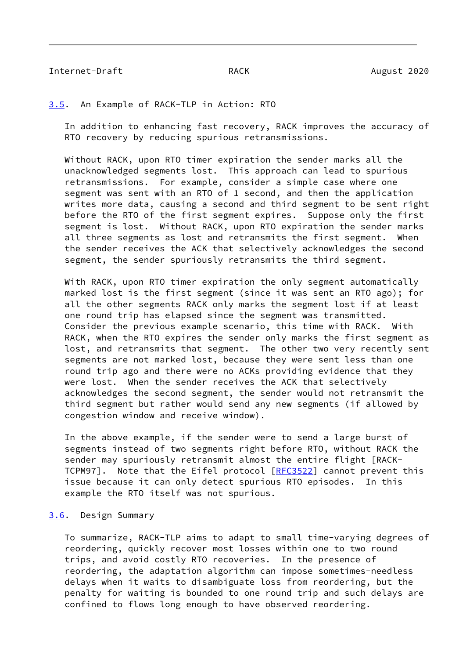# Internet-Draft **RACK** RACK August 2020

### <span id="page-9-0"></span>[3.5](#page-9-0). An Example of RACK-TLP in Action: RTO

 In addition to enhancing fast recovery, RACK improves the accuracy of RTO recovery by reducing spurious retransmissions.

 Without RACK, upon RTO timer expiration the sender marks all the unacknowledged segments lost. This approach can lead to spurious retransmissions. For example, consider a simple case where one segment was sent with an RTO of 1 second, and then the application writes more data, causing a second and third segment to be sent right before the RTO of the first segment expires. Suppose only the first segment is lost. Without RACK, upon RTO expiration the sender marks all three segments as lost and retransmits the first segment. When the sender receives the ACK that selectively acknowledges the second segment, the sender spuriously retransmits the third segment.

 With RACK, upon RTO timer expiration the only segment automatically marked lost is the first segment (since it was sent an RTO ago); for all the other segments RACK only marks the segment lost if at least one round trip has elapsed since the segment was transmitted. Consider the previous example scenario, this time with RACK. With RACK, when the RTO expires the sender only marks the first segment as lost, and retransmits that segment. The other two very recently sent segments are not marked lost, because they were sent less than one round trip ago and there were no ACKs providing evidence that they were lost. When the sender receives the ACK that selectively acknowledges the second segment, the sender would not retransmit the third segment but rather would send any new segments (if allowed by congestion window and receive window).

 In the above example, if the sender were to send a large burst of segments instead of two segments right before RTO, without RACK the sender may spuriously retransmit almost the entire flight [RACK- TCPM97]. Note that the Eifel protocol [\[RFC3522](https://datatracker.ietf.org/doc/pdf/rfc3522)] cannot prevent this issue because it can only detect spurious RTO episodes. In this example the RTO itself was not spurious.

## <span id="page-9-1"></span>[3.6](#page-9-1). Design Summary

 To summarize, RACK-TLP aims to adapt to small time-varying degrees of reordering, quickly recover most losses within one to two round trips, and avoid costly RTO recoveries. In the presence of reordering, the adaptation algorithm can impose sometimes-needless delays when it waits to disambiguate loss from reordering, but the penalty for waiting is bounded to one round trip and such delays are confined to flows long enough to have observed reordering.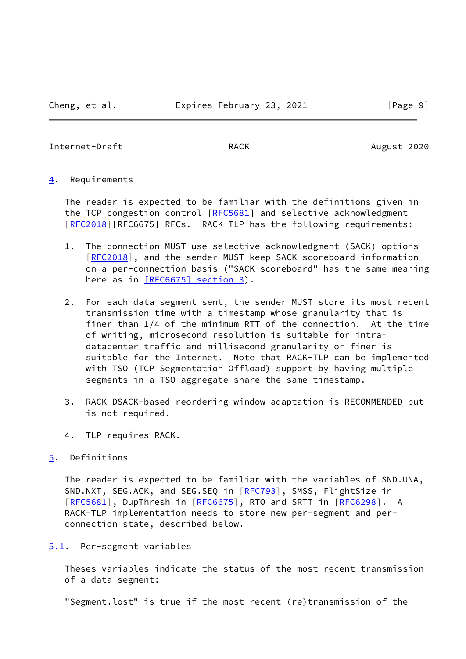# Internet-Draft RACK RACK August 2020

# <span id="page-10-0"></span>[4](#page-10-0). Requirements

 The reader is expected to be familiar with the definitions given in the TCP congestion control [[RFC5681\]](https://datatracker.ietf.org/doc/pdf/rfc5681) and selective acknowledgment [\[RFC2018](https://datatracker.ietf.org/doc/pdf/rfc2018)][RFC6675] RFCs. RACK-TLP has the following requirements:

- 1. The connection MUST use selective acknowledgment (SACK) options [\[RFC2018](https://datatracker.ietf.org/doc/pdf/rfc2018)], and the sender MUST keep SACK scoreboard information on a per-connection basis ("SACK scoreboard" has the same meaning here as in [\[RFC6675\] section](https://datatracker.ietf.org/doc/pdf/rfc6675#section-3) 3).
- 2. For each data segment sent, the sender MUST store its most recent transmission time with a timestamp whose granularity that is finer than 1/4 of the minimum RTT of the connection. At the time of writing, microsecond resolution is suitable for intra datacenter traffic and millisecond granularity or finer is suitable for the Internet. Note that RACK-TLP can be implemented with TSO (TCP Segmentation Offload) support by having multiple segments in a TSO aggregate share the same timestamp.
- 3. RACK DSACK-based reordering window adaptation is RECOMMENDED but is not required.
- 4. TLP requires RACK.

# <span id="page-10-1"></span>[5](#page-10-1). Definitions

 The reader is expected to be familiar with the variables of SND.UNA, SND.NXT, SEG.ACK, and SEG.SEQ in [\[RFC793](https://datatracker.ietf.org/doc/pdf/rfc793)], SMSS, FlightSize in [\[RFC5681](https://datatracker.ietf.org/doc/pdf/rfc5681)], DupThresh in [\[RFC6675](https://datatracker.ietf.org/doc/pdf/rfc6675)], RTO and SRTT in [[RFC6298\]](https://datatracker.ietf.org/doc/pdf/rfc6298). A RACK-TLP implementation needs to store new per-segment and per connection state, described below.

# <span id="page-10-2"></span>[5.1](#page-10-2). Per-segment variables

 Theses variables indicate the status of the most recent transmission of a data segment:

"Segment.lost" is true if the most recent (re)transmission of the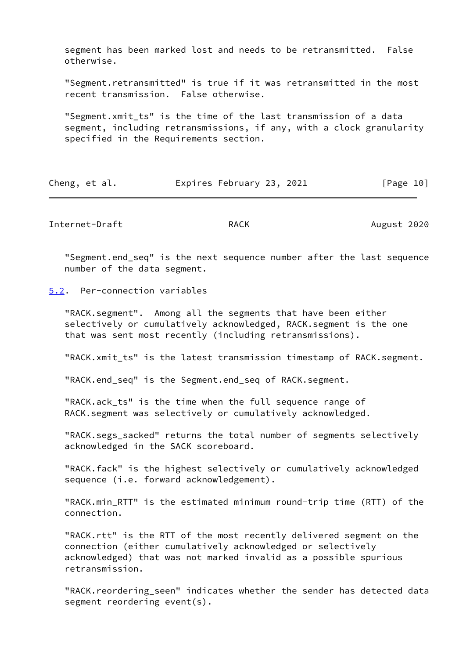segment has been marked lost and needs to be retransmitted. False otherwise.

 "Segment.retransmitted" is true if it was retransmitted in the most recent transmission. False otherwise.

 "Segment.xmit\_ts" is the time of the last transmission of a data segment, including retransmissions, if any, with a clock granularity specified in the Requirements section.

| Cheng, et al. | Expires February 23, 2021 | [Page 10] |
|---------------|---------------------------|-----------|
|---------------|---------------------------|-----------|

Internet-Draft RACK RACK August 2020

 "Segment.end\_seq" is the next sequence number after the last sequence number of the data segment.

<span id="page-11-0"></span>[5.2](#page-11-0). Per-connection variables

 "RACK.segment". Among all the segments that have been either selectively or cumulatively acknowledged, RACK.segment is the one that was sent most recently (including retransmissions).

"RACK.xmit\_ts" is the latest transmission timestamp of RACK.segment.

"RACK.end\_seq" is the Segment.end\_seq of RACK.segment.

"RACK.ack ts" is the time when the full sequence range of RACK.segment was selectively or cumulatively acknowledged.

 "RACK.segs\_sacked" returns the total number of segments selectively acknowledged in the SACK scoreboard.

 "RACK.fack" is the highest selectively or cumulatively acknowledged sequence (i.e. forward acknowledgement).

 "RACK.min\_RTT" is the estimated minimum round-trip time (RTT) of the connection.

 "RACK.rtt" is the RTT of the most recently delivered segment on the connection (either cumulatively acknowledged or selectively acknowledged) that was not marked invalid as a possible spurious retransmission.

 "RACK.reordering\_seen" indicates whether the sender has detected data segment reordering event(s).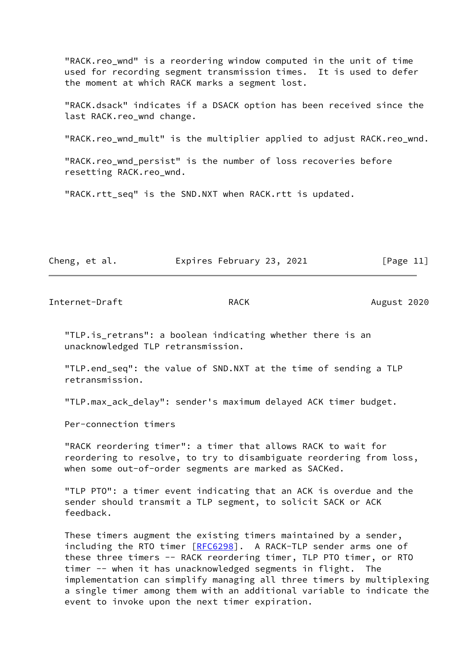"RACK.reo\_wnd" is a reordering window computed in the unit of time used for recording segment transmission times. It is used to defer the moment at which RACK marks a segment lost.

 "RACK.dsack" indicates if a DSACK option has been received since the last RACK.reo wnd change.

"RACK.reo\_wnd\_mult" is the multiplier applied to adjust RACK.reo\_wnd.

 "RACK.reo\_wnd\_persist" is the number of loss recoveries before resetting RACK.reo\_wnd.

"RACK.rtt\_seq" is the SND.NXT when RACK.rtt is updated.

Cheng, et al. Expires February 23, 2021 [Page 11]

Internet-Draft RACK RACK August 2020

 "TLP.is\_retrans": a boolean indicating whether there is an unacknowledged TLP retransmission.

 "TLP.end\_seq": the value of SND.NXT at the time of sending a TLP retransmission.

"TLP.max ack delay": sender's maximum delayed ACK timer budget.

Per-connection timers

 "RACK reordering timer": a timer that allows RACK to wait for reordering to resolve, to try to disambiguate reordering from loss, when some out-of-order segments are marked as SACKed.

 "TLP PTO": a timer event indicating that an ACK is overdue and the sender should transmit a TLP segment, to solicit SACK or ACK feedback.

 These timers augment the existing timers maintained by a sender, including the RTO timer [\[RFC6298](https://datatracker.ietf.org/doc/pdf/rfc6298)]. A RACK-TLP sender arms one of these three timers -- RACK reordering timer, TLP PTO timer, or RTO timer -- when it has unacknowledged segments in flight. The implementation can simplify managing all three timers by multiplexing a single timer among them with an additional variable to indicate the event to invoke upon the next timer expiration.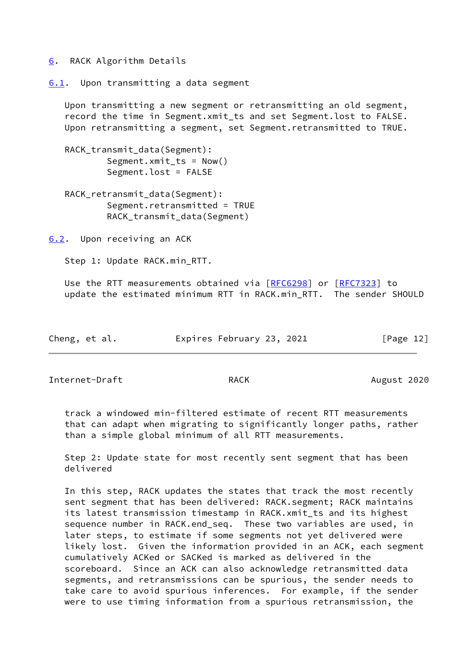## <span id="page-13-0"></span>[6](#page-13-0). RACK Algorithm Details

<span id="page-13-1"></span>[6.1](#page-13-1). Upon transmitting a data segment

 Upon transmitting a new segment or retransmitting an old segment, record the time in Segment.xmit\_ts and set Segment.lost to FALSE. Upon retransmitting a segment, set Segment.retransmitted to TRUE.

 RACK\_transmit\_data(Segment): Segment. $xmit_{ts}$  = Now() Segment.lost = FALSE

 RACK\_retransmit\_data(Segment): Segment.retransmitted = TRUE RACK transmit data(Segment)

<span id="page-13-2"></span>[6.2](#page-13-2). Upon receiving an ACK

Step 1: Update RACK.min\_RTT.

Use the RTT measurements obtained via [[RFC6298](https://datatracker.ietf.org/doc/pdf/rfc6298)] or [[RFC7323\]](https://datatracker.ietf.org/doc/pdf/rfc7323) to update the estimated minimum RTT in RACK.min\_RTT. The sender SHOULD

| Cheng, et al. | Expires February 23, 2021 | [Page 12] |
|---------------|---------------------------|-----------|
|---------------|---------------------------|-----------|

Internet-Draft RACK RACK August 2020

 track a windowed min-filtered estimate of recent RTT measurements that can adapt when migrating to significantly longer paths, rather than a simple global minimum of all RTT measurements.

 Step 2: Update state for most recently sent segment that has been delivered

 In this step, RACK updates the states that track the most recently sent segment that has been delivered: RACK.segment; RACK maintains its latest transmission timestamp in RACK.xmit\_ts and its highest sequence number in RACK.end\_seq. These two variables are used, in later steps, to estimate if some segments not yet delivered were likely lost. Given the information provided in an ACK, each segment cumulatively ACKed or SACKed is marked as delivered in the scoreboard. Since an ACK can also acknowledge retransmitted data segments, and retransmissions can be spurious, the sender needs to take care to avoid spurious inferences. For example, if the sender were to use timing information from a spurious retransmission, the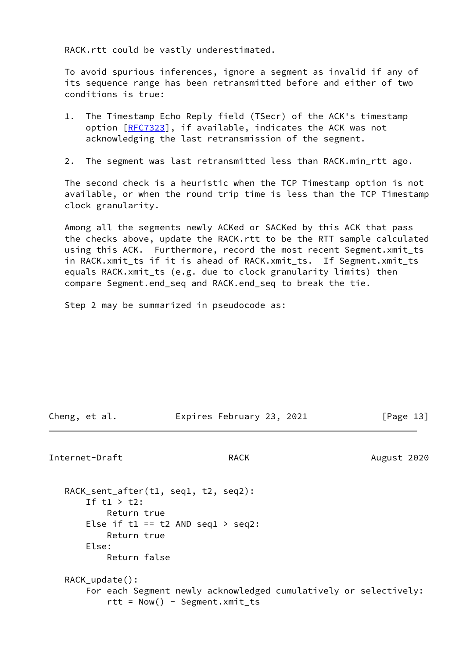RACK.rtt could be vastly underestimated.

 To avoid spurious inferences, ignore a segment as invalid if any of its sequence range has been retransmitted before and either of two conditions is true:

- 1. The Timestamp Echo Reply field (TSecr) of the ACK's timestamp option [[RFC7323\]](https://datatracker.ietf.org/doc/pdf/rfc7323), if available, indicates the ACK was not acknowledging the last retransmission of the segment.
- 2. The segment was last retransmitted less than RACK.min\_rtt ago.

 The second check is a heuristic when the TCP Timestamp option is not available, or when the round trip time is less than the TCP Timestamp clock granularity.

 Among all the segments newly ACKed or SACKed by this ACK that pass the checks above, update the RACK.rtt to be the RTT sample calculated using this ACK. Furthermore, record the most recent Segment.xmit\_ts in RACK.xmit\_ts if it is ahead of RACK.xmit\_ts. If Segment.xmit\_ts equals RACK.xmit\_ts (e.g. due to clock granularity limits) then compare Segment.end\_seq and RACK.end\_seq to break the tie.

Step 2 may be summarized in pseudocode as:

Cheng, et al. Expires February 23, 2021 [Page 13]

Internet-Draft **RACK** RACK August 2020

 RACK\_sent\_after(t1, seq1, t2, seq2): If t1 > t2: Return true Else if t1 == t2 AND seq1 > seq2: Return true Else: Return false RACK\_update(): For each Segment newly acknowledged cumulatively or selectively:  $rtt = Now() - Segment.xml_t$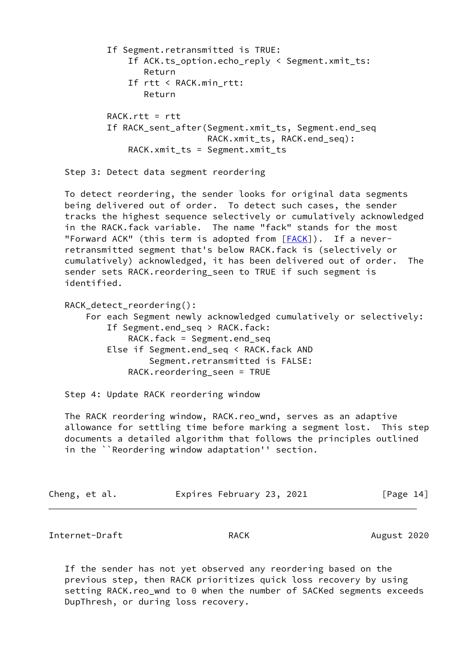```
 If Segment.retransmitted is TRUE:
     If ACK.ts_option.echo_reply < Segment.xmit_ts:
        Return
     If rtt < RACK.min_rtt:
        Return
RACK.rtt = rtt If RACK_sent_after(Segment.xmit_ts, Segment.end_seq
                    RACK.xmit_ts, RACK.end_seq):
     RACK.xmit_ts = Segment.xmit_ts
```
Step 3: Detect data segment reordering

 To detect reordering, the sender looks for original data segments being delivered out of order. To detect such cases, the sender tracks the highest sequence selectively or cumulatively acknowledged in the RACK.fack variable. The name "fack" stands for the most "Forward ACK" (this term is adopted from  $[FACK]$  $[FACK]$ ). If a never retransmitted segment that's below RACK.fack is (selectively or cumulatively) acknowledged, it has been delivered out of order. The sender sets RACK.reordering\_seen to TRUE if such segment is identified.

 RACK\_detect\_reordering(): For each Segment newly acknowledged cumulatively or selectively: If Segment.end seq > RACK.fack: RACK.fack = Segment.end\_seq Else if Segment.end\_seq < RACK.fack AND Segment.retransmitted is FALSE: RACK.reordering\_seen = TRUE

Step 4: Update RACK reordering window

 The RACK reordering window, RACK.reo\_wnd, serves as an adaptive allowance for settling time before marking a segment lost. This step documents a detailed algorithm that follows the principles outlined in the ``Reordering window adaptation'' section.

| Cheng, et al. |  | Expires February 23, 2021 |  | [Page 14] |  |
|---------------|--|---------------------------|--|-----------|--|
|               |  |                           |  |           |  |

Internet-Draft **RACK** RACK August 2020

 If the sender has not yet observed any reordering based on the previous step, then RACK prioritizes quick loss recovery by using setting RACK.reo\_wnd to 0 when the number of SACKed segments exceeds DupThresh, or during loss recovery.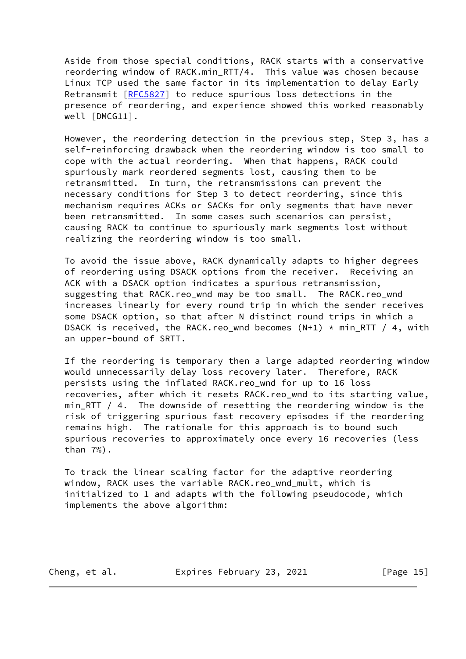Aside from those special conditions, RACK starts with a conservative reordering window of RACK.min RTT/4. This value was chosen because Linux TCP used the same factor in its implementation to delay Early Retransmit [[RFC5827\]](https://datatracker.ietf.org/doc/pdf/rfc5827) to reduce spurious loss detections in the presence of reordering, and experience showed this worked reasonably well [DMCG11].

 However, the reordering detection in the previous step, Step 3, has a self-reinforcing drawback when the reordering window is too small to cope with the actual reordering. When that happens, RACK could spuriously mark reordered segments lost, causing them to be retransmitted. In turn, the retransmissions can prevent the necessary conditions for Step 3 to detect reordering, since this mechanism requires ACKs or SACKs for only segments that have never been retransmitted. In some cases such scenarios can persist, causing RACK to continue to spuriously mark segments lost without realizing the reordering window is too small.

 To avoid the issue above, RACK dynamically adapts to higher degrees of reordering using DSACK options from the receiver. Receiving an ACK with a DSACK option indicates a spurious retransmission, suggesting that RACK.reo\_wnd may be too small. The RACK.reo\_wnd increases linearly for every round trip in which the sender receives some DSACK option, so that after N distinct round trips in which a DSACK is received, the RACK.reo\_wnd becomes  $(N+1)$  \* min\_RTT / 4, with an upper-bound of SRTT.

 If the reordering is temporary then a large adapted reordering window would unnecessarily delay loss recovery later. Therefore, RACK persists using the inflated RACK.reo\_wnd for up to 16 loss recoveries, after which it resets RACK.reo\_wnd to its starting value, min\_RTT / 4. The downside of resetting the reordering window is the risk of triggering spurious fast recovery episodes if the reordering remains high. The rationale for this approach is to bound such spurious recoveries to approximately once every 16 recoveries (less than 7%).

 To track the linear scaling factor for the adaptive reordering window, RACK uses the variable RACK.reo\_wnd\_mult, which is initialized to 1 and adapts with the following pseudocode, which implements the above algorithm:

Cheng, et al. Expires February 23, 2021 [Page 15]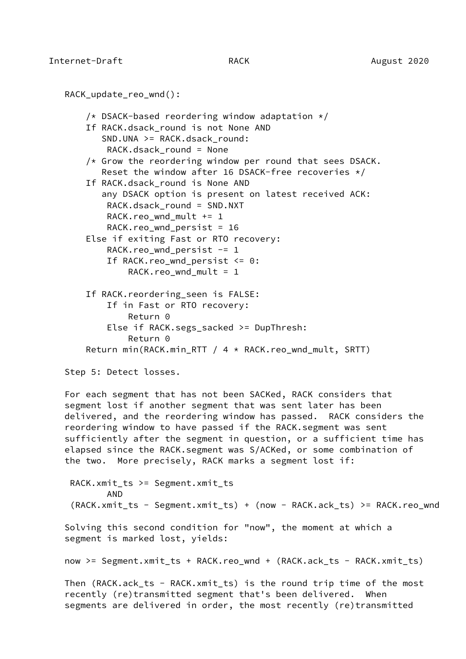RACK\_update\_reo\_wnd(): /\* DSACK-based reordering window adaptation \*/ If RACK.dsack round is not None AND SND.UNA >= RACK.dsack round: RACK.dsack\_round = None  $/*$  Grow the reordering window per round that sees DSACK. Reset the window after 16 DSACK-free recoveries  $*/$ If RACK.dsack round is None AND any DSACK option is present on latest received ACK: RACK.dsack\_round = SND.NXT RACK.reo wnd mult  $+= 1$ RACK.reo wnd persist = 16 Else if exiting Fast or RTO recovery: RACK.reo wnd persist  $-1$ If RACK.reo wnd persist  $\leq 0$ : RACK.reo wnd mult =  $1$  If RACK.reordering\_seen is FALSE: If in Fast or RTO recovery: Return 0 Else if RACK.segs\_sacked >= DupThresh: Return 0 Return min(RACK.min\_RTT / 4 \* RACK.reo\_wnd\_mult, SRTT)

Step 5: Detect losses.

 For each segment that has not been SACKed, RACK considers that segment lost if another segment that was sent later has been delivered, and the reordering window has passed. RACK considers the reordering window to have passed if the RACK.segment was sent sufficiently after the segment in question, or a sufficient time has elapsed since the RACK.segment was S/ACKed, or some combination of the two. More precisely, RACK marks a segment lost if:

 RACK.xmit\_ts >= Segment.xmit\_ts AND (RACK.xmit\_ts - Segment.xmit\_ts) + (now - RACK.ack\_ts) >= RACK.reo\_wnd Solving this second condition for "now", the moment at which a segment is marked lost, yields: now >= Segment.xmit\_ts + RACK.reo\_wnd + (RACK.ack\_ts - RACK.xmit\_ts) Then (RACK.ack\_ts - RACK.xmit\_ts) is the round trip time of the most recently (re)transmitted segment that's been delivered. When segments are delivered in order, the most recently (re)transmitted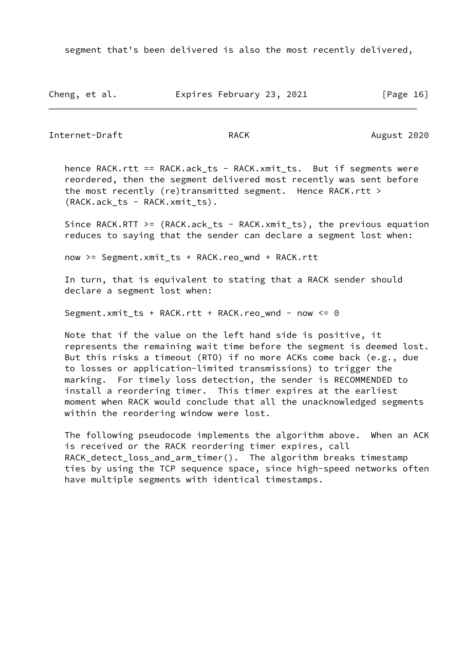segment that's been delivered is also the most recently delivered,

Cheng, et al. Expires February 23, 2021 [Page 16]

Internet-Draft RACK RACK August 2020

hence RACK.rtt == RACK.ack\_ts - RACK.xmit\_ts. But if segments were reordered, then the segment delivered most recently was sent before the most recently (re)transmitted segment. Hence RACK.rtt > (RACK.ack\_ts - RACK.xmit\_ts).

 Since RACK.RTT >= (RACK.ack\_ts - RACK.xmit\_ts), the previous equation reduces to saying that the sender can declare a segment lost when:

now >= Segment.xmit\_ts + RACK.reo\_wnd + RACK.rtt

 In turn, that is equivalent to stating that a RACK sender should declare a segment lost when:

Segment.xmit\_ts + RACK.rtt + RACK.reo\_wnd - now <= 0

 Note that if the value on the left hand side is positive, it represents the remaining wait time before the segment is deemed lost. But this risks a timeout (RTO) if no more ACKs come back (e.g., due to losses or application-limited transmissions) to trigger the marking. For timely loss detection, the sender is RECOMMENDED to install a reordering timer. This timer expires at the earliest moment when RACK would conclude that all the unacknowledged segments within the reordering window were lost.

 The following pseudocode implements the algorithm above. When an ACK is received or the RACK reordering timer expires, call RACK\_detect\_loss\_and\_arm\_timer(). The algorithm breaks timestamp ties by using the TCP sequence space, since high-speed networks often have multiple segments with identical timestamps.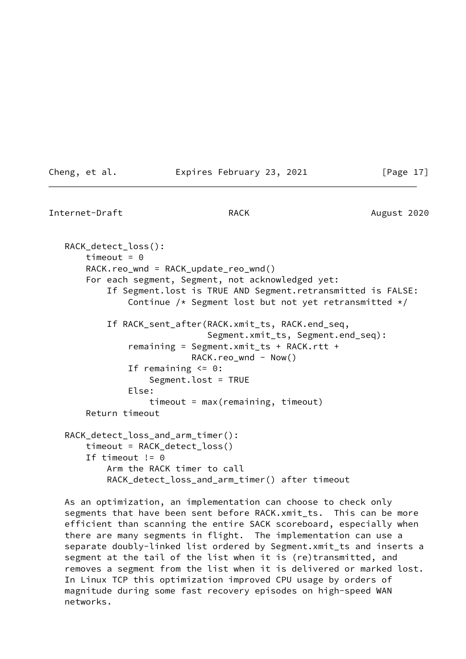# Cheng, et al. Expires February 23, 2021 [Page 17]

Internet-Draft **RACK** RACK August 2020

```
 RACK_detect_loss():
    timeout = 0 RACK.reo_wnd = RACK_update_reo_wnd()
     For each segment, Segment, not acknowledged yet:
         If Segment.lost is TRUE AND Segment.retransmitted is FALSE:
            Continue /* Segment lost but not yet retransmitted */ If RACK_sent_after(RACK.xmit_ts, RACK.end_seq,
                             Segment.xmit_ts, Segment.end_seq):
             remaining = Segment.xmit_ts + RACK.rtt +
                        RACK.read - Now()If remaining \leq 0:
                 Segment.lost = TRUE
             Else:
                 timeout = max(remaining, timeout)
     Return timeout
 RACK_detect_loss_and_arm_timer():
     timeout = RACK_detect_loss()
    If timeout != 0 Arm the RACK timer to call
         RACK_detect_loss_and_arm_timer() after timeout
```
 As an optimization, an implementation can choose to check only segments that have been sent before RACK.xmit\_ts. This can be more efficient than scanning the entire SACK scoreboard, especially when there are many segments in flight. The implementation can use a separate doubly-linked list ordered by Segment.xmit\_ts and inserts a segment at the tail of the list when it is (re)transmitted, and removes a segment from the list when it is delivered or marked lost. In Linux TCP this optimization improved CPU usage by orders of magnitude during some fast recovery episodes on high-speed WAN networks.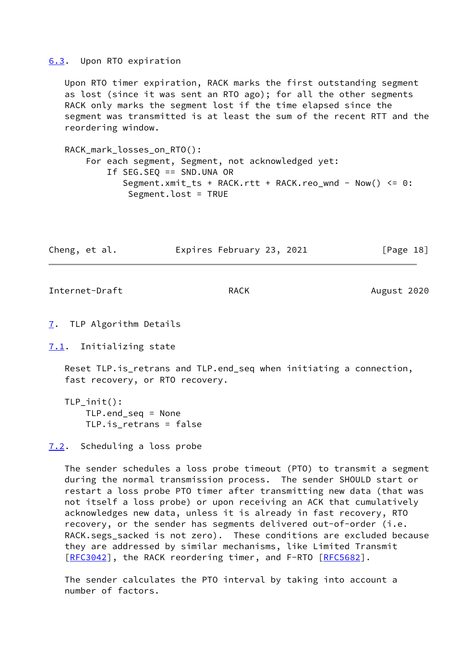## <span id="page-20-0"></span>[6.3](#page-20-0). Upon RTO expiration

 Upon RTO timer expiration, RACK marks the first outstanding segment as lost (since it was sent an RTO ago); for all the other segments RACK only marks the segment lost if the time elapsed since the segment was transmitted is at least the sum of the recent RTT and the reordering window.

 RACK\_mark\_losses\_on\_RTO(): For each segment, Segment, not acknowledged yet: If SEG.SEQ == SND.UNA OR Segment.xmit\_ts + RACK.rtt + RACK.reo\_wnd - Now() <= 0: Segment.lost = TRUE

Cheng, et al. Expires February 23, 2021 [Page 18]

Internet-Draft RACK RACK August 2020

<span id="page-20-1"></span>[7](#page-20-1). TLP Algorithm Details

<span id="page-20-2"></span>[7.1](#page-20-2). Initializing state

 Reset TLP.is\_retrans and TLP.end\_seq when initiating a connection, fast recovery, or RTO recovery.

 TLP\_init(): TLP.end\_seq = None TLP.is\_retrans = false

<span id="page-20-3"></span>[7.2](#page-20-3). Scheduling a loss probe

 The sender schedules a loss probe timeout (PTO) to transmit a segment during the normal transmission process. The sender SHOULD start or restart a loss probe PTO timer after transmitting new data (that was not itself a loss probe) or upon receiving an ACK that cumulatively acknowledges new data, unless it is already in fast recovery, RTO recovery, or the sender has segments delivered out-of-order (i.e. RACK.segs\_sacked is not zero). These conditions are excluded because they are addressed by similar mechanisms, like Limited Transmit [\[RFC3042](https://datatracker.ietf.org/doc/pdf/rfc3042)], the RACK reordering timer, and F-RTO [\[RFC5682](https://datatracker.ietf.org/doc/pdf/rfc5682)].

 The sender calculates the PTO interval by taking into account a number of factors.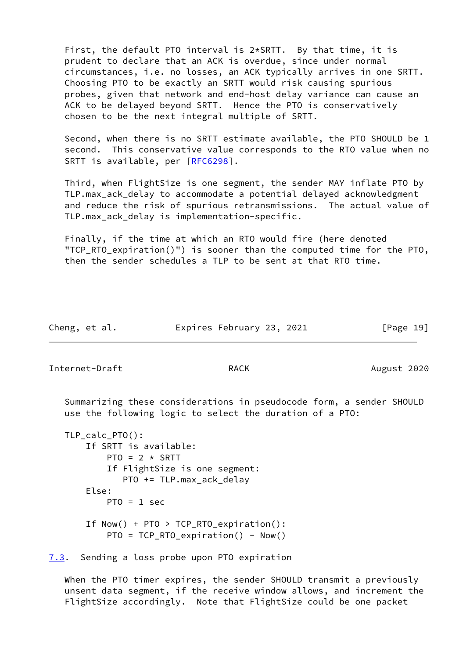First, the default PTO interval is 2\*SRTT. By that time, it is prudent to declare that an ACK is overdue, since under normal circumstances, i.e. no losses, an ACK typically arrives in one SRTT. Choosing PTO to be exactly an SRTT would risk causing spurious probes, given that network and end-host delay variance can cause an ACK to be delayed beyond SRTT. Hence the PTO is conservatively chosen to be the next integral multiple of SRTT.

 Second, when there is no SRTT estimate available, the PTO SHOULD be 1 second. This conservative value corresponds to the RTO value when no SRTT is available, per [\[RFC6298](https://datatracker.ietf.org/doc/pdf/rfc6298)].

 Third, when FlightSize is one segment, the sender MAY inflate PTO by TLP.max\_ack\_delay to accommodate a potential delayed acknowledgment and reduce the risk of spurious retransmissions. The actual value of TLP.max ack delay is implementation-specific.

 Finally, if the time at which an RTO would fire (here denoted "TCP RTO expiration()") is sooner than the computed time for the PTO, then the sender schedules a TLP to be sent at that RTO time.

| Cheng, et al. | Expires February 23, 2021 | [Page 19] |
|---------------|---------------------------|-----------|
|---------------|---------------------------|-----------|

Internet-Draft **RACK** RACK August 2020

 Summarizing these considerations in pseudocode form, a sender SHOULD use the following logic to select the duration of a PTO:

```
 TLP_calc_PTO():
     If SRTT is available:
        PTO = 2 \times SRTT If FlightSize is one segment:
            PTO += TLP.max_ack_delay
     Else:
        PTO = 1 sec
     If Now() + PTO > TCP_RTO_expiration():
        PTO = TCP_RTO_expiration() - Now()
```
<span id="page-21-0"></span>[7.3](#page-21-0). Sending a loss probe upon PTO expiration

When the PTO timer expires, the sender SHOULD transmit a previously unsent data segment, if the receive window allows, and increment the FlightSize accordingly. Note that FlightSize could be one packet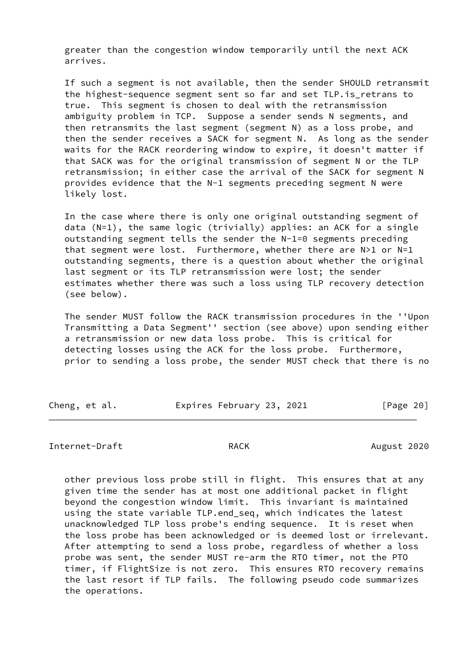greater than the congestion window temporarily until the next ACK arrives.

 If such a segment is not available, then the sender SHOULD retransmit the highest-sequence segment sent so far and set TLP.is\_retrans to true. This segment is chosen to deal with the retransmission ambiguity problem in TCP. Suppose a sender sends N segments, and then retransmits the last segment (segment N) as a loss probe, and then the sender receives a SACK for segment N. As long as the sender waits for the RACK reordering window to expire, it doesn't matter if that SACK was for the original transmission of segment N or the TLP retransmission; in either case the arrival of the SACK for segment N provides evidence that the N-1 segments preceding segment N were likely lost.

 In the case where there is only one original outstanding segment of data (N=1), the same logic (trivially) applies: an ACK for a single outstanding segment tells the sender the N-1=0 segments preceding that segment were lost. Furthermore, whether there are N>1 or N=1 outstanding segments, there is a question about whether the original last segment or its TLP retransmission were lost; the sender estimates whether there was such a loss using TLP recovery detection (see below).

 The sender MUST follow the RACK transmission procedures in the ''Upon Transmitting a Data Segment'' section (see above) upon sending either a retransmission or new data loss probe. This is critical for detecting losses using the ACK for the loss probe. Furthermore, prior to sending a loss probe, the sender MUST check that there is no

| Cheng, et al. | Expires February 23, 2021 |  | [Page 20] |  |
|---------------|---------------------------|--|-----------|--|
|               |                           |  |           |  |

# Internet-Draft RACK August 2020

 other previous loss probe still in flight. This ensures that at any given time the sender has at most one additional packet in flight beyond the congestion window limit. This invariant is maintained using the state variable TLP.end\_seq, which indicates the latest unacknowledged TLP loss probe's ending sequence. It is reset when the loss probe has been acknowledged or is deemed lost or irrelevant. After attempting to send a loss probe, regardless of whether a loss probe was sent, the sender MUST re-arm the RTO timer, not the PTO timer, if FlightSize is not zero. This ensures RTO recovery remains the last resort if TLP fails. The following pseudo code summarizes the operations.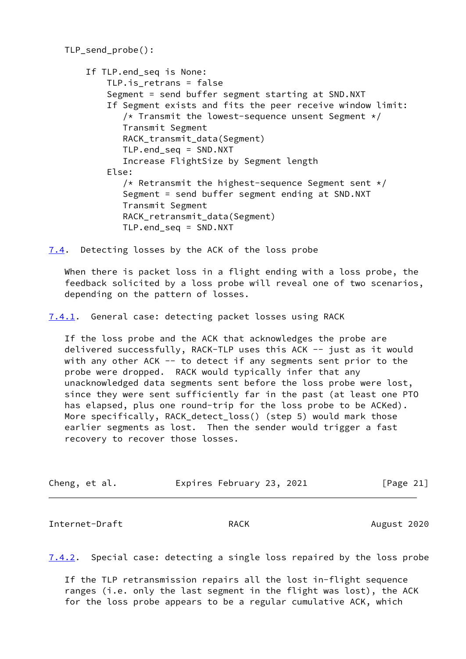```
 TLP_send_probe():
     If TLP.end_seq is None:
        TLP.is retrans = false
         Segment = send buffer segment starting at SND.NXT
         If Segment exists and fits the peer receive window limit:
           /* Transmit the lowest-sequence unsent Segment */ Transmit Segment
            RACK_transmit_data(Segment)
            TLP.end_seq = SND.NXT
            Increase FlightSize by Segment length
         Else:
           /* Retransmit the highest-sequence Segment sent */ Segment = send buffer segment ending at SND.NXT
            Transmit Segment
           RACK retransmit data(Segment)
            TLP.end_seq = SND.NXT
```
<span id="page-23-0"></span>[7.4](#page-23-0). Detecting losses by the ACK of the loss probe

 When there is packet loss in a flight ending with a loss probe, the feedback solicited by a loss probe will reveal one of two scenarios, depending on the pattern of losses.

<span id="page-23-1"></span>[7.4.1](#page-23-1). General case: detecting packet losses using RACK

 If the loss probe and the ACK that acknowledges the probe are delivered successfully, RACK-TLP uses this ACK -- just as it would with any other ACK -- to detect if any segments sent prior to the probe were dropped. RACK would typically infer that any unacknowledged data segments sent before the loss probe were lost, since they were sent sufficiently far in the past (at least one PTO has elapsed, plus one round-trip for the loss probe to be ACKed). More specifically, RACK\_detect\_loss() (step 5) would mark those earlier segments as lost. Then the sender would trigger a fast recovery to recover those losses.

| Cheng, et al. |  | Expires February 23, 2021 |  |  | [Page 21] |  |
|---------------|--|---------------------------|--|--|-----------|--|
|---------------|--|---------------------------|--|--|-----------|--|

Internet-Draft **RACK** RACK August 2020

<span id="page-23-2"></span>[7.4.2](#page-23-2). Special case: detecting a single loss repaired by the loss probe

 If the TLP retransmission repairs all the lost in-flight sequence ranges (i.e. only the last segment in the flight was lost), the ACK for the loss probe appears to be a regular cumulative ACK, which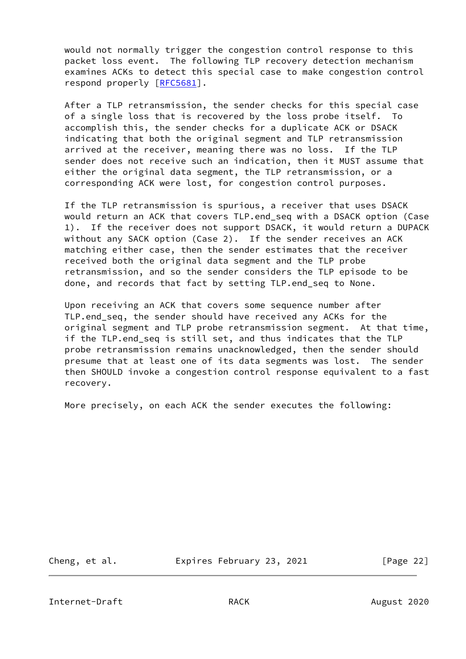would not normally trigger the congestion control response to this packet loss event. The following TLP recovery detection mechanism examines ACKs to detect this special case to make congestion control respond properly [\[RFC5681](https://datatracker.ietf.org/doc/pdf/rfc5681)].

 After a TLP retransmission, the sender checks for this special case of a single loss that is recovered by the loss probe itself. To accomplish this, the sender checks for a duplicate ACK or DSACK indicating that both the original segment and TLP retransmission arrived at the receiver, meaning there was no loss. If the TLP sender does not receive such an indication, then it MUST assume that either the original data segment, the TLP retransmission, or a corresponding ACK were lost, for congestion control purposes.

 If the TLP retransmission is spurious, a receiver that uses DSACK would return an ACK that covers TLP.end seq with a DSACK option (Case 1). If the receiver does not support DSACK, it would return a DUPACK without any SACK option (Case 2). If the sender receives an ACK matching either case, then the sender estimates that the receiver received both the original data segment and the TLP probe retransmission, and so the sender considers the TLP episode to be done, and records that fact by setting TLP.end\_seq to None.

 Upon receiving an ACK that covers some sequence number after TLP.end\_seq, the sender should have received any ACKs for the original segment and TLP probe retransmission segment. At that time, if the TLP.end\_seq is still set, and thus indicates that the TLP probe retransmission remains unacknowledged, then the sender should presume that at least one of its data segments was lost. The sender then SHOULD invoke a congestion control response equivalent to a fast recovery.

More precisely, on each ACK the sender executes the following:

Cheng, et al. Expires February 23, 2021 [Page 22]

Internet-Draft **RACK** RACK August 2020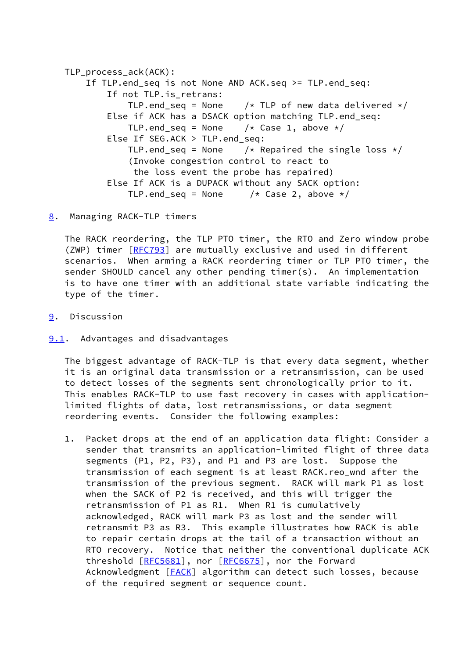```
TLP process ack(ACK):
     If TLP.end_seq is not None AND ACK.seq >= TLP.end_seq:
        If not TLP. is retrans:
            TLP.end seq = None /* TLP of new data delivered */
        Else if ACK has a DSACK option matching TLP.end seq:
            TLP.end_seq = None /* Case 1, above */ Else If SEG.ACK > TLP.end_seq:
            TLP.end_seq = None \frac{1}{x} Repaired the single loss \frac{x}{x} (Invoke congestion control to react to
              the loss event the probe has repaired)
         Else If ACK is a DUPACK without any SACK option:
            TLP.end_seq = None /* Case 2, above */
```
<span id="page-25-0"></span>[8](#page-25-0). Managing RACK-TLP timers

 The RACK reordering, the TLP PTO timer, the RTO and Zero window probe (ZWP) timer [\[RFC793](https://datatracker.ietf.org/doc/pdf/rfc793)] are mutually exclusive and used in different scenarios. When arming a RACK reordering timer or TLP PTO timer, the sender SHOULD cancel any other pending timer(s). An implementation is to have one timer with an additional state variable indicating the type of the timer.

- <span id="page-25-1"></span>[9](#page-25-1). Discussion
- <span id="page-25-2"></span>**[9.1](#page-25-2).** Advantages and disadvantages

 The biggest advantage of RACK-TLP is that every data segment, whether it is an original data transmission or a retransmission, can be used to detect losses of the segments sent chronologically prior to it. This enables RACK-TLP to use fast recovery in cases with application limited flights of data, lost retransmissions, or data segment reordering events. Consider the following examples:

 1. Packet drops at the end of an application data flight: Consider a sender that transmits an application-limited flight of three data segments (P1, P2, P3), and P1 and P3 are lost. Suppose the transmission of each segment is at least RACK.reo\_wnd after the transmission of the previous segment. RACK will mark P1 as lost when the SACK of P2 is received, and this will trigger the retransmission of P1 as R1. When R1 is cumulatively acknowledged, RACK will mark P3 as lost and the sender will retransmit P3 as R3. This example illustrates how RACK is able to repair certain drops at the tail of a transaction without an RTO recovery. Notice that neither the conventional duplicate ACK threshold [[RFC5681](https://datatracker.ietf.org/doc/pdf/rfc5681)], nor [\[RFC6675](https://datatracker.ietf.org/doc/pdf/rfc6675)], nor the Forward Acknowledgment [[FACK\]](#page-31-1) algorithm can detect such losses, because of the required segment or sequence count.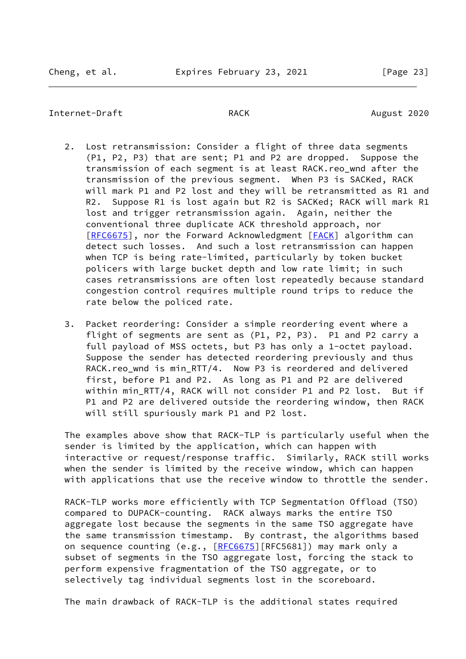## Internet-Draft **RACK** RACK August 2020

- 2. Lost retransmission: Consider a flight of three data segments (P1, P2, P3) that are sent; P1 and P2 are dropped. Suppose the transmission of each segment is at least RACK.reo wnd after the transmission of the previous segment. When P3 is SACKed, RACK will mark P1 and P2 lost and they will be retransmitted as R1 and R2. Suppose R1 is lost again but R2 is SACKed; RACK will mark R1 lost and trigger retransmission again. Again, neither the conventional three duplicate ACK threshold approach, nor [\[RFC6675](https://datatracker.ietf.org/doc/pdf/rfc6675)], nor the Forward Acknowledgment [[FACK\]](#page-31-1) algorithm can detect such losses. And such a lost retransmission can happen when TCP is being rate-limited, particularly by token bucket policers with large bucket depth and low rate limit; in such cases retransmissions are often lost repeatedly because standard congestion control requires multiple round trips to reduce the rate below the policed rate.
- 3. Packet reordering: Consider a simple reordering event where a flight of segments are sent as (P1, P2, P3). P1 and P2 carry a full payload of MSS octets, but P3 has only a 1-octet payload. Suppose the sender has detected reordering previously and thus RACK.reo wnd is min RTT/4. Now P3 is reordered and delivered first, before P1 and P2. As long as P1 and P2 are delivered within min\_RTT/4, RACK will not consider P1 and P2 lost. But if P1 and P2 are delivered outside the reordering window, then RACK will still spuriously mark P1 and P2 lost.

 The examples above show that RACK-TLP is particularly useful when the sender is limited by the application, which can happen with interactive or request/response traffic. Similarly, RACK still works when the sender is limited by the receive window, which can happen with applications that use the receive window to throttle the sender.

 RACK-TLP works more efficiently with TCP Segmentation Offload (TSO) compared to DUPACK-counting. RACK always marks the entire TSO aggregate lost because the segments in the same TSO aggregate have the same transmission timestamp. By contrast, the algorithms based on sequence counting (e.g., [\[RFC6675](https://datatracker.ietf.org/doc/pdf/rfc6675)][RFC5681]) may mark only a subset of segments in the TSO aggregate lost, forcing the stack to perform expensive fragmentation of the TSO aggregate, or to selectively tag individual segments lost in the scoreboard.

The main drawback of RACK-TLP is the additional states required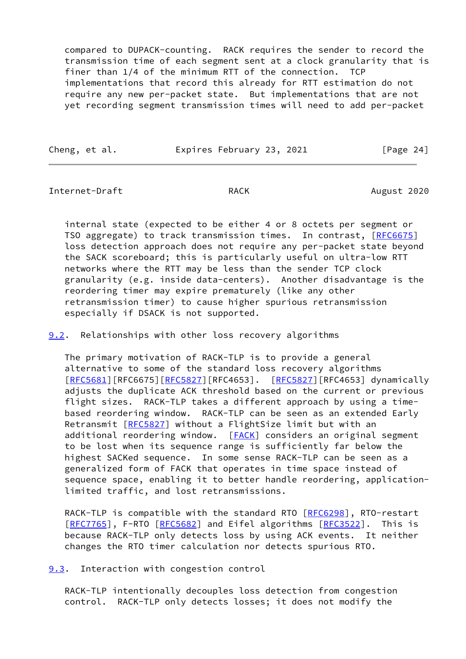compared to DUPACK-counting. RACK requires the sender to record the transmission time of each segment sent at a clock granularity that is finer than 1/4 of the minimum RTT of the connection. TCP implementations that record this already for RTT estimation do not require any new per-packet state. But implementations that are not yet recording segment transmission times will need to add per-packet

Cheng, et al. Expires February 23, 2021 [Page 24]

Internet-Draft **RACK** RACK August 2020

 internal state (expected to be either 4 or 8 octets per segment or TSO aggregate) to track transmission times. In contrast, [[RFC6675](https://datatracker.ietf.org/doc/pdf/rfc6675)] loss detection approach does not require any per-packet state beyond the SACK scoreboard; this is particularly useful on ultra-low RTT networks where the RTT may be less than the sender TCP clock granularity (e.g. inside data-centers). Another disadvantage is the reordering timer may expire prematurely (like any other retransmission timer) to cause higher spurious retransmission especially if DSACK is not supported.

<span id="page-27-0"></span>[9.2](#page-27-0). Relationships with other loss recovery algorithms

 The primary motivation of RACK-TLP is to provide a general alternative to some of the standard loss recovery algorithms [\[RFC5681](https://datatracker.ietf.org/doc/pdf/rfc5681)][RFC6675][[RFC5827](https://datatracker.ietf.org/doc/pdf/rfc5827)][RFC4653]. [\[RFC5827](https://datatracker.ietf.org/doc/pdf/rfc5827)][RFC4653] dynamically adjusts the duplicate ACK threshold based on the current or previous flight sizes. RACK-TLP takes a different approach by using a time based reordering window. RACK-TLP can be seen as an extended Early Retransmit [[RFC5827\]](https://datatracker.ietf.org/doc/pdf/rfc5827) without a FlightSize limit but with an additional reordering window. [\[FACK](#page-31-1)] considers an original segment to be lost when its sequence range is sufficiently far below the highest SACKed sequence. In some sense RACK-TLP can be seen as a generalized form of FACK that operates in time space instead of sequence space, enabling it to better handle reordering, application limited traffic, and lost retransmissions.

RACK-TLP is compatible with the standard RTO [\[RFC6298](https://datatracker.ietf.org/doc/pdf/rfc6298)], RTO-restart [\[RFC7765](https://datatracker.ietf.org/doc/pdf/rfc7765)], F-RTO [\[RFC5682](https://datatracker.ietf.org/doc/pdf/rfc5682)] and Eifel algorithms [\[RFC3522](https://datatracker.ietf.org/doc/pdf/rfc3522)]. This is because RACK-TLP only detects loss by using ACK events. It neither changes the RTO timer calculation nor detects spurious RTO.

<span id="page-27-1"></span>[9.3](#page-27-1). Interaction with congestion control

 RACK-TLP intentionally decouples loss detection from congestion control. RACK-TLP only detects losses; it does not modify the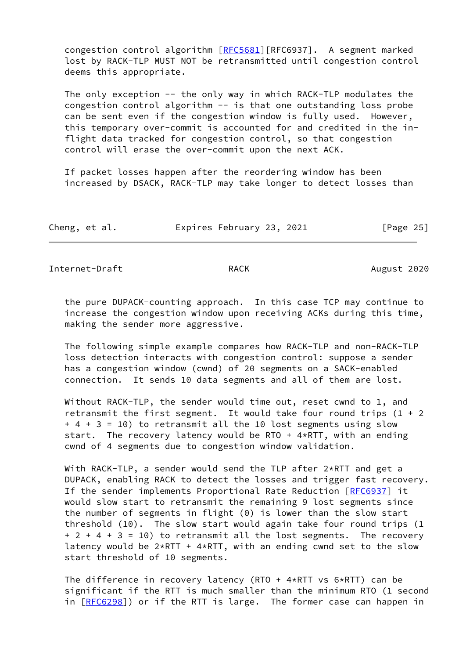congestion control algorithm [\[RFC5681](https://datatracker.ietf.org/doc/pdf/rfc5681)][RFC6937]. A segment marked lost by RACK-TLP MUST NOT be retransmitted until congestion control deems this appropriate.

 The only exception -- the only way in which RACK-TLP modulates the congestion control algorithm -- is that one outstanding loss probe can be sent even if the congestion window is fully used. However, this temporary over-commit is accounted for and credited in the in flight data tracked for congestion control, so that congestion control will erase the over-commit upon the next ACK.

 If packet losses happen after the reordering window has been increased by DSACK, RACK-TLP may take longer to detect losses than

|  | Cheng, et al. |  | Expires February 23, 2021 |  | [Page 25] |
|--|---------------|--|---------------------------|--|-----------|
|--|---------------|--|---------------------------|--|-----------|

Internet-Draft RACK RACK August 2020

 the pure DUPACK-counting approach. In this case TCP may continue to increase the congestion window upon receiving ACKs during this time, making the sender more aggressive.

 The following simple example compares how RACK-TLP and non-RACK-TLP loss detection interacts with congestion control: suppose a sender has a congestion window (cwnd) of 20 segments on a SACK-enabled connection. It sends 10 data segments and all of them are lost.

 Without RACK-TLP, the sender would time out, reset cwnd to 1, and retransmit the first segment. It would take four round trips  $(1 + 2)$  + 4 + 3 = 10) to retransmit all the 10 lost segments using slow start. The recovery latency would be RTO +  $4*$ RTT, with an ending cwnd of 4 segments due to congestion window validation.

 With RACK-TLP, a sender would send the TLP after 2\*RTT and get a DUPACK, enabling RACK to detect the losses and trigger fast recovery. If the sender implements Proportional Rate Reduction [\[RFC6937](https://datatracker.ietf.org/doc/pdf/rfc6937)] it would slow start to retransmit the remaining 9 lost segments since the number of segments in flight (0) is lower than the slow start threshold (10). The slow start would again take four round trips (1 + 2 + 4 + 3 = 10) to retransmit all the lost segments. The recovery latency would be  $2*RTT + 4*RTT$ , with an ending cwnd set to the slow start threshold of 10 segments.

 The difference in recovery latency (RTO + 4\*RTT vs 6\*RTT) can be significant if the RTT is much smaller than the minimum RTO (1 second in [[RFC6298\]](https://datatracker.ietf.org/doc/pdf/rfc6298)) or if the RTT is large. The former case can happen in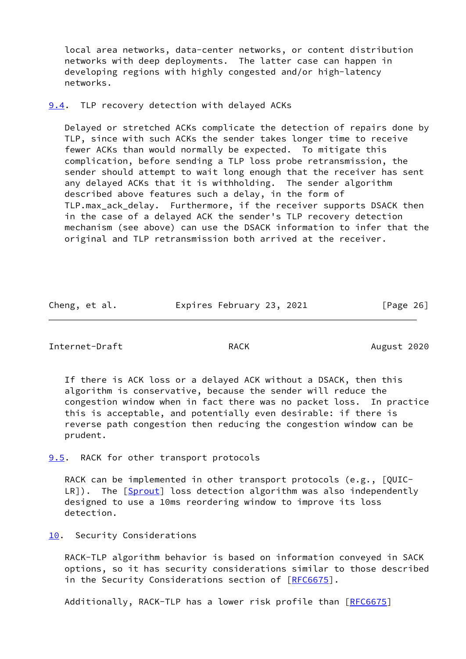local area networks, data-center networks, or content distribution networks with deep deployments. The latter case can happen in developing regions with highly congested and/or high-latency networks.

# <span id="page-29-0"></span>[9.4](#page-29-0). TLP recovery detection with delayed ACKs

 Delayed or stretched ACKs complicate the detection of repairs done by TLP, since with such ACKs the sender takes longer time to receive fewer ACKs than would normally be expected. To mitigate this complication, before sending a TLP loss probe retransmission, the sender should attempt to wait long enough that the receiver has sent any delayed ACKs that it is withholding. The sender algorithm described above features such a delay, in the form of TLP.max\_ack\_delay. Furthermore, if the receiver supports DSACK then in the case of a delayed ACK the sender's TLP recovery detection mechanism (see above) can use the DSACK information to infer that the original and TLP retransmission both arrived at the receiver.

| Cheng, et al. | Expires February 23, 2021 | [Page 26] |
|---------------|---------------------------|-----------|
|---------------|---------------------------|-----------|

Internet-Draft RACK RACK August 2020

 If there is ACK loss or a delayed ACK without a DSACK, then this algorithm is conservative, because the sender will reduce the congestion window when in fact there was no packet loss. In practice this is acceptable, and potentially even desirable: if there is reverse path congestion then reducing the congestion window can be prudent.

<span id="page-29-1"></span>[9.5](#page-29-1). RACK for other transport protocols

 RACK can be implemented in other transport protocols (e.g., [QUIC- LR]). The [[Sprout](#page-32-0)] loss detection algorithm was also independently designed to use a 10ms reordering window to improve its loss detection.

<span id="page-29-2"></span>[10.](#page-29-2) Security Considerations

 RACK-TLP algorithm behavior is based on information conveyed in SACK options, so it has security considerations similar to those described in the Security Considerations section of [[RFC6675](https://datatracker.ietf.org/doc/pdf/rfc6675)].

Additionally, RACK-TLP has a lower risk profile than [\[RFC6675](https://datatracker.ietf.org/doc/pdf/rfc6675)]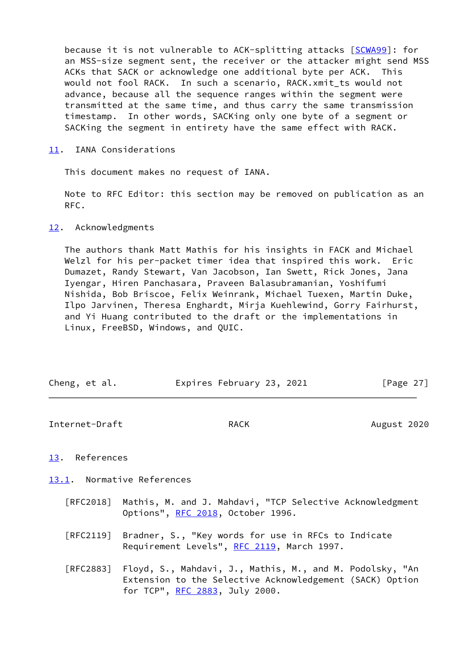because it is not vulnerable to ACK-splitting attacks [[SCWA99](#page-32-1)]: for an MSS-size segment sent, the receiver or the attacker might send MSS ACKs that SACK or acknowledge one additional byte per ACK. This would not fool RACK. In such a scenario, RACK.xmit\_ts would not advance, because all the sequence ranges within the segment were transmitted at the same time, and thus carry the same transmission timestamp. In other words, SACKing only one byte of a segment or SACKing the segment in entirety have the same effect with RACK.

<span id="page-30-0"></span>[11.](#page-30-0) IANA Considerations

This document makes no request of IANA.

 Note to RFC Editor: this section may be removed on publication as an RFC.

# <span id="page-30-1"></span>[12.](#page-30-1) Acknowledgments

 The authors thank Matt Mathis for his insights in FACK and Michael Welzl for his per-packet timer idea that inspired this work. Eric Dumazet, Randy Stewart, Van Jacobson, Ian Swett, Rick Jones, Jana Iyengar, Hiren Panchasara, Praveen Balasubramanian, Yoshifumi Nishida, Bob Briscoe, Felix Weinrank, Michael Tuexen, Martin Duke, Ilpo Jarvinen, Theresa Enghardt, Mirja Kuehlewind, Gorry Fairhurst, and Yi Huang contributed to the draft or the implementations in Linux, FreeBSD, Windows, and QUIC.

| Cheng, et al. | Expires February 23, 2021 | [Page 27] |
|---------------|---------------------------|-----------|
|               |                           |           |

Internet-Draft **RACK** RACK August 2020

# <span id="page-30-2"></span>[13.](#page-30-2) References

<span id="page-30-3"></span>[13.1](#page-30-3). Normative References

- [RFC2018] Mathis, M. and J. Mahdavi, "TCP Selective Acknowledgment Options", [RFC 2018](https://datatracker.ietf.org/doc/pdf/rfc2018), October 1996.
- [RFC2119] Bradner, S., "Key words for use in RFCs to Indicate Requirement Levels", [RFC 2119](https://datatracker.ietf.org/doc/pdf/rfc2119), March 1997.
- [RFC2883] Floyd, S., Mahdavi, J., Mathis, M., and M. Podolsky, "An Extension to the Selective Acknowledgement (SACK) Option for TCP", [RFC 2883](https://datatracker.ietf.org/doc/pdf/rfc2883), July 2000.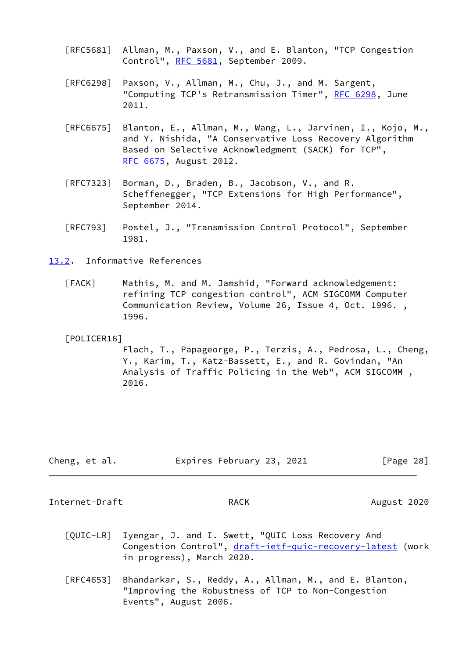- [RFC5681] Allman, M., Paxson, V., and E. Blanton, "TCP Congestion Control", [RFC 5681](https://datatracker.ietf.org/doc/pdf/rfc5681), September 2009.
- [RFC6298] Paxson, V., Allman, M., Chu, J., and M. Sargent, "Computing TCP's Retransmission Timer", [RFC 6298,](https://datatracker.ietf.org/doc/pdf/rfc6298) June 2011.
- [RFC6675] Blanton, E., Allman, M., Wang, L., Jarvinen, I., Kojo, M., and Y. Nishida, "A Conservative Loss Recovery Algorithm Based on Selective Acknowledgment (SACK) for TCP", [RFC 6675,](https://datatracker.ietf.org/doc/pdf/rfc6675) August 2012.
- [RFC7323] Borman, D., Braden, B., Jacobson, V., and R. Scheffenegger, "TCP Extensions for High Performance", September 2014.
- [RFC793] Postel, J., "Transmission Control Protocol", September 1981.
- <span id="page-31-2"></span><span id="page-31-1"></span>[13.2](#page-31-2). Informative References
	- [FACK] Mathis, M. and M. Jamshid, "Forward acknowledgement: refining TCP congestion control", ACM SIGCOMM Computer Communication Review, Volume 26, Issue 4, Oct. 1996. , 1996.

## <span id="page-31-0"></span>[POLICER16]

 Flach, T., Papageorge, P., Terzis, A., Pedrosa, L., Cheng, Y., Karim, T., Katz-Bassett, E., and R. Govindan, "An Analysis of Traffic Policing in the Web", ACM SIGCOMM , 2016.

| Cheng, et al. | Expires February 23, 2021 | [Page 28] |
|---------------|---------------------------|-----------|
|---------------|---------------------------|-----------|

Internet-Draft RACK RACK August 2020

- [QUIC-LR] Iyengar, J. and I. Swett, "QUIC Loss Recovery And Congestion Control", [draft-ietf-quic-recovery-latest](https://datatracker.ietf.org/doc/pdf/draft-ietf-quic-recovery-latest) (work in progress), March 2020.
- [RFC4653] Bhandarkar, S., Reddy, A., Allman, M., and E. Blanton, "Improving the Robustness of TCP to Non-Congestion Events", August 2006.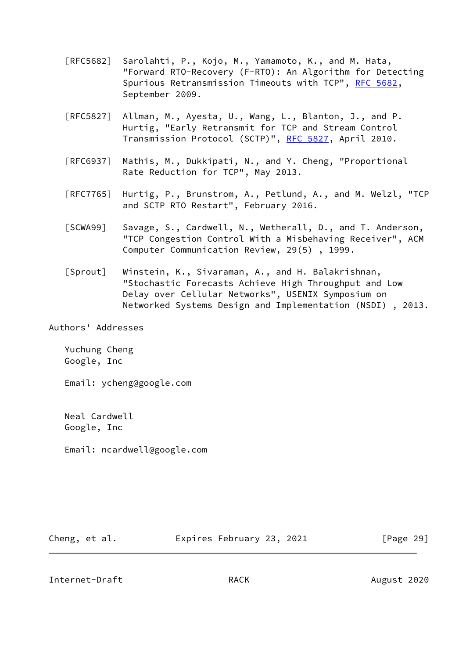- [RFC5682] Sarolahti, P., Kojo, M., Yamamoto, K., and M. Hata, "Forward RTO-Recovery (F-RTO): An Algorithm for Detecting Spurious Retransmission Timeouts with TCP", [RFC 5682,](https://datatracker.ietf.org/doc/pdf/rfc5682) September 2009.
- [RFC5827] Allman, M., Ayesta, U., Wang, L., Blanton, J., and P. Hurtig, "Early Retransmit for TCP and Stream Control Transmission Protocol (SCTP)", [RFC 5827](https://datatracker.ietf.org/doc/pdf/rfc5827), April 2010.
- [RFC6937] Mathis, M., Dukkipati, N., and Y. Cheng, "Proportional Rate Reduction for TCP", May 2013.
- [RFC7765] Hurtig, P., Brunstrom, A., Petlund, A., and M. Welzl, "TCP and SCTP RTO Restart", February 2016.
- <span id="page-32-1"></span> [SCWA99] Savage, S., Cardwell, N., Wetherall, D., and T. Anderson, "TCP Congestion Control With a Misbehaving Receiver", ACM Computer Communication Review, 29(5) , 1999.
- <span id="page-32-0"></span> [Sprout] Winstein, K., Sivaraman, A., and H. Balakrishnan, "Stochastic Forecasts Achieve High Throughput and Low Delay over Cellular Networks", USENIX Symposium on Networked Systems Design and Implementation (NSDI) , 2013.

Authors' Addresses

 Yuchung Cheng Google, Inc

Email: ycheng@google.com

 Neal Cardwell Google, Inc

Email: ncardwell@google.com

Cheng, et al. Expires February 23, 2021 [Page 29]

Internet-Draft RACK RACK August 2020